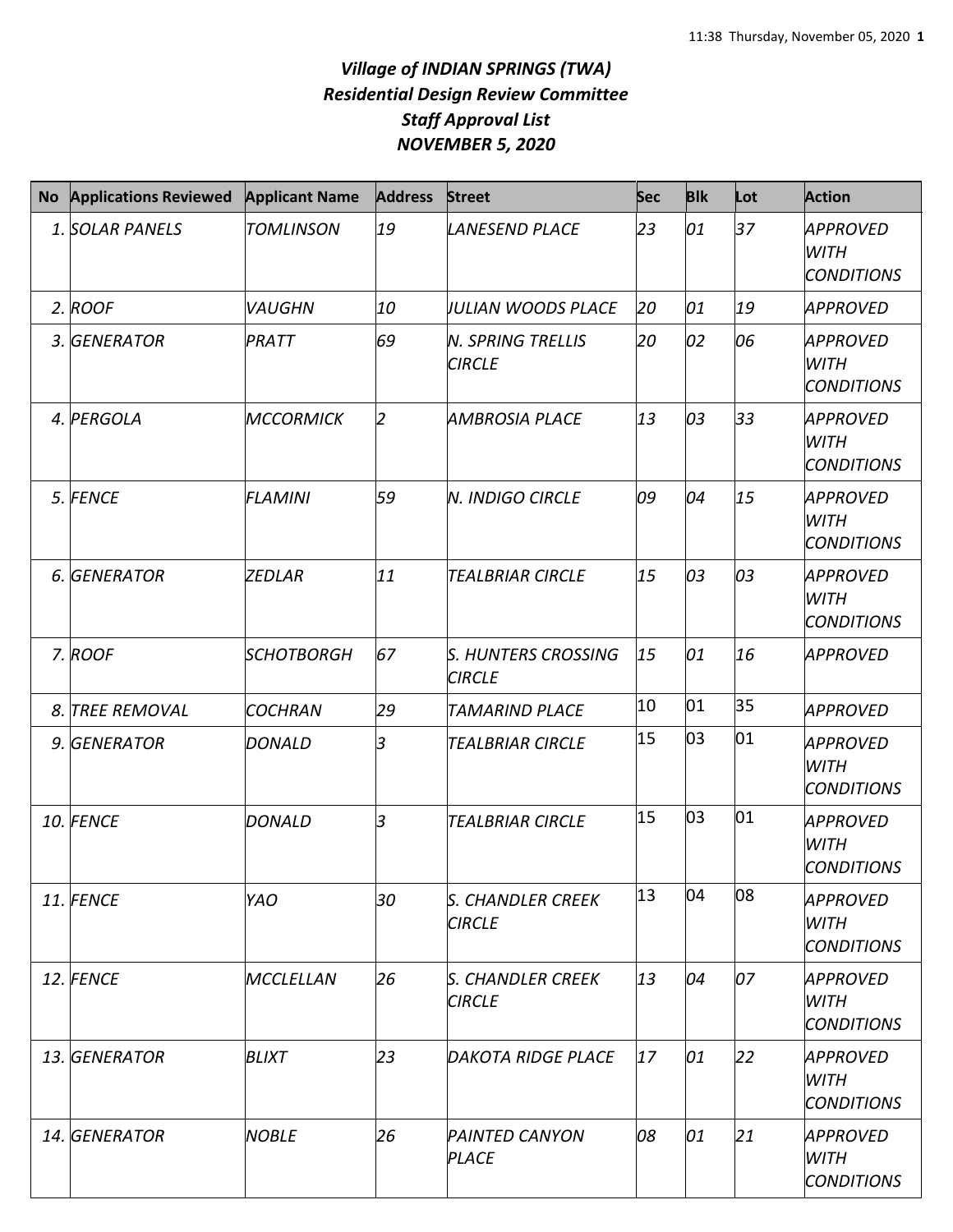## *Village of INDIAN SPRINGS (TWA) Residential Design Review Committee Staff Approval List NOVEMBER 5, 2020*

| <b>No</b> | <b>Applications Reviewed</b> | <b>Applicant Name</b>    | <b>Address</b> | <b>Street</b>                               | Sec | <b>Blk</b> | Lot | <b>Action</b>                                       |
|-----------|------------------------------|--------------------------|----------------|---------------------------------------------|-----|------------|-----|-----------------------------------------------------|
|           | 1. SOLAR PANELS              | <b>TOMLINSON</b>         | 19             | <b>LANESEND PLACE</b>                       | 23  | 01         | 37  | APPROVED<br><b>WITH</b><br><b>CONDITIONS</b>        |
|           | 2. ROOF                      | <b>VAUGHN</b>            | 10             | <b>JULIAN WOODS PLACE</b>                   | 20  | 01         | 19  | <b>APPROVED</b>                                     |
|           | 3. GENERATOR                 | PRATT                    | 69             | <b>N. SPRING TRELLIS</b><br><b>CIRCLE</b>   | 20  | 02         | 06  | APPROVED<br><b>WITH</b><br><b>CONDITIONS</b>        |
|           | 4. PERGOLA                   | <b>MCCORMICK</b>         | $\mathcal{P}$  | <b>AMBROSIA PLACE</b>                       | 13  | 03         | 33  | <b>APPROVED</b><br><b>WITH</b><br><b>CONDITIONS</b> |
|           | 5. FENCE                     | <b>FLAMINI</b>           | 59             | <b>N. INDIGO CIRCLE</b>                     | 09  | 04         | 15  | APPROVED<br><b>WITH</b><br><b>CONDITIONS</b>        |
|           | 6. GENERATOR                 | ZEDLAR                   | 11             | <b>TEALBRIAR CIRCLE</b>                     | 15  | 03         | 03  | APPROVED<br><b>WITH</b><br><b>CONDITIONS</b>        |
|           | 7. ROOF                      | <i><b>SCHOTBORGH</b></i> | 67             | <b>S. HUNTERS CROSSING</b><br><b>CIRCLE</b> | 15  | 01         | 16  | APPROVED                                            |
|           | 8. TREE REMOVAL              | <b>COCHRAN</b>           | 29             | <b>TAMARIND PLACE</b>                       | 10  | 01         | 35  | <b>APPROVED</b>                                     |
|           | 9. GENERATOR                 | <b>DONALD</b>            | l3             | <b>TEALBRIAR CIRCLE</b>                     | 15  | 03         | 01  | APPROVED<br><b>WITH</b><br><b>CONDITIONS</b>        |
|           | 10. FENCE                    | <b>DONALD</b>            | 3              | <b>TEALBRIAR CIRCLE</b>                     | 15  | 03         | 01  | <b>APPROVED</b><br><b>WITH</b><br><b>CONDITIONS</b> |
|           | 11. FENCE                    | <b>YAO</b>               | 30             | <b>S. CHANDLER CREEK</b><br><b>CIRCLE</b>   | 13  | 04         | 08  | APPROVED<br><b>WITH</b><br><b>CONDITIONS</b>        |
|           | 12. FENCE                    | <b>MCCLELLAN</b>         | 26             | S. CHANDLER CREEK<br><b>CIRCLE</b>          | 13  | 04         | 07  | <b>APPROVED</b><br>WITH<br><b>CONDITIONS</b>        |
|           | 13. GENERATOR                | <b>BLIXT</b>             | 23             | <b>DAKOTA RIDGE PLACE</b>                   | 17  | 01         | 22  | APPROVED<br>WITH<br><b>CONDITIONS</b>               |
|           | 14. GENERATOR                | <b>NOBLE</b>             | 26             | <b>PAINTED CANYON</b><br><b>PLACE</b>       | 08  | 01         | 21  | APPROVED<br><b>WITH</b><br><b>CONDITIONS</b>        |